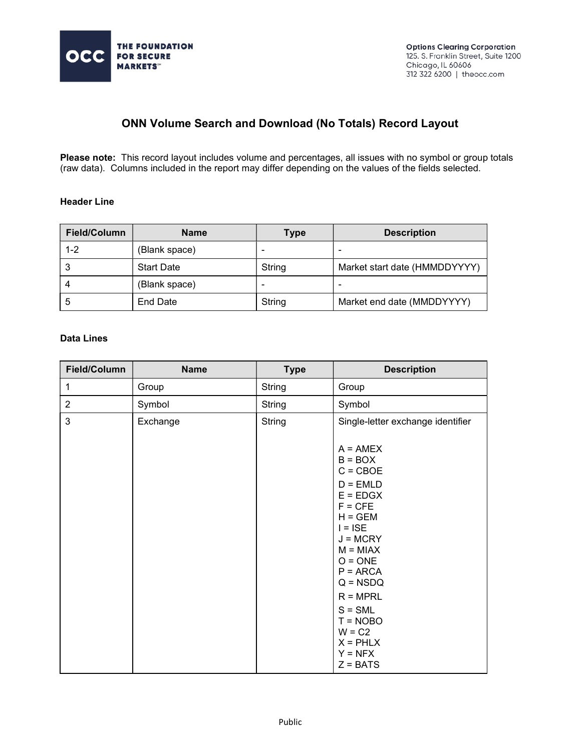

## ONN Volume Search and Download (No Totals) Record Layout

Please note: This record layout includes volume and percentages, all issues with no symbol or group totals (raw data). Columns included in the report may differ depending on the values of the fields selected.

## Header Line

| Field/Column | <b>Name</b>       | <b>Type</b>              | <b>Description</b>            |
|--------------|-------------------|--------------------------|-------------------------------|
| $1 - 2$      | (Blank space)     | -                        |                               |
|              | <b>Start Date</b> | String                   | Market start date (HMMDDYYYY) |
|              | (Blank space)     | $\overline{\phantom{0}}$ |                               |
|              | End Date          | String                   | Market end date (MMDDYYYY)    |

## Data Lines

| Field/Column   | <b>Name</b> | <b>Type</b>   | <b>Description</b>                                                                                                                                                                                                               |
|----------------|-------------|---------------|----------------------------------------------------------------------------------------------------------------------------------------------------------------------------------------------------------------------------------|
| 1              | Group       | <b>String</b> | Group                                                                                                                                                                                                                            |
| $\overline{2}$ | Symbol      | String        | Symbol                                                                                                                                                                                                                           |
| 3              | Exchange    | <b>String</b> | Single-letter exchange identifier<br>$A = AMEX$<br>$B = BOX$<br>$C = CBOE$<br>$D = EMLD$<br>$E = EDGX$<br>$F = CFE$<br>$H = GEM$<br>$I = ISE$<br>$J = MCRY$<br>$M = MIAX$<br>$O = ONE$<br>$P = ARCA$<br>$Q = NSDQ$<br>$R = MPRL$ |
|                |             |               | $S = SML$<br>$T = NOBO$<br>$W = C2$<br>$X = PHLX$<br>$Y = NFX$<br>$Z = BATS$                                                                                                                                                     |